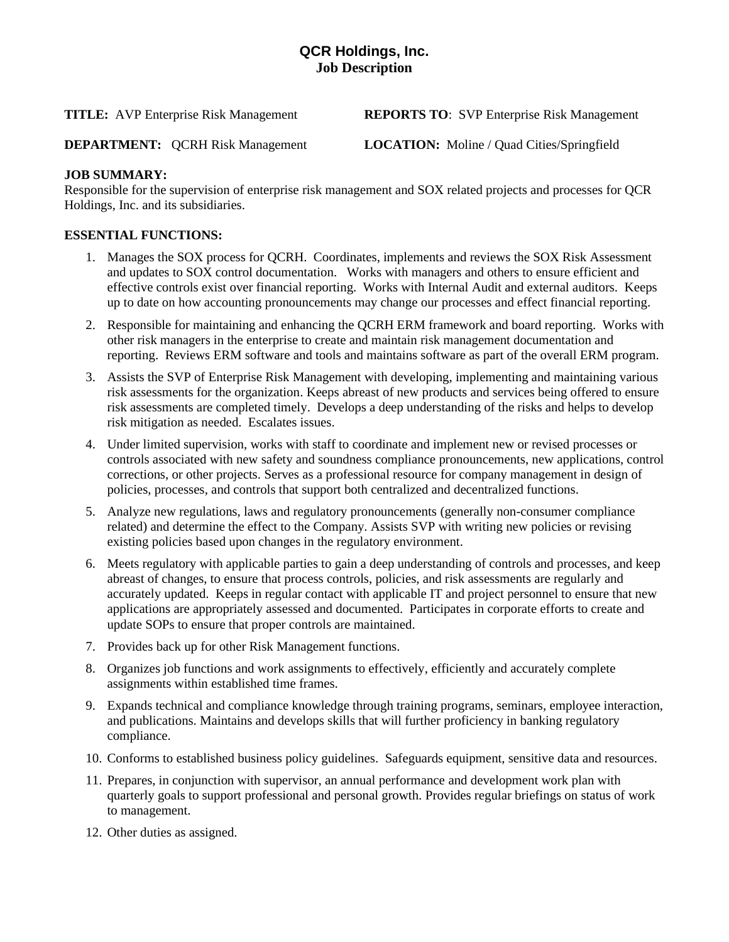# **QCR Holdings, Inc. Job Description**

**TITLE:** AVP Enterprise Risk Management **REPORTS TO**: SVP Enterprise Risk Management

**DEPARTMENT:** QCRH Risk Management **LOCATION:** Moline / Quad Cities/Springfield

## **JOB SUMMARY:**

Responsible for the supervision of enterprise risk management and SOX related projects and processes for QCR Holdings, Inc. and its subsidiaries.

### **ESSENTIAL FUNCTIONS:**

- 1. Manages the SOX process for QCRH. Coordinates, implements and reviews the SOX Risk Assessment and updates to SOX control documentation. Works with managers and others to ensure efficient and effective controls exist over financial reporting. Works with Internal Audit and external auditors. Keeps up to date on how accounting pronouncements may change our processes and effect financial reporting.
- 2. Responsible for maintaining and enhancing the QCRH ERM framework and board reporting. Works with other risk managers in the enterprise to create and maintain risk management documentation and reporting. Reviews ERM software and tools and maintains software as part of the overall ERM program.
- 3. Assists the SVP of Enterprise Risk Management with developing, implementing and maintaining various risk assessments for the organization. Keeps abreast of new products and services being offered to ensure risk assessments are completed timely. Develops a deep understanding of the risks and helps to develop risk mitigation as needed. Escalates issues.
- 4. Under limited supervision, works with staff to coordinate and implement new or revised processes or controls associated with new safety and soundness compliance pronouncements, new applications, control corrections, or other projects. Serves as a professional resource for company management in design of policies, processes, and controls that support both centralized and decentralized functions.
- 5. Analyze new regulations, laws and regulatory pronouncements (generally non-consumer compliance related) and determine the effect to the Company. Assists SVP with writing new policies or revising existing policies based upon changes in the regulatory environment.
- 6. Meets regulatory with applicable parties to gain a deep understanding of controls and processes, and keep abreast of changes, to ensure that process controls, policies, and risk assessments are regularly and accurately updated. Keeps in regular contact with applicable IT and project personnel to ensure that new applications are appropriately assessed and documented. Participates in corporate efforts to create and update SOPs to ensure that proper controls are maintained.
- 7. Provides back up for other Risk Management functions.
- 8. Organizes job functions and work assignments to effectively, efficiently and accurately complete assignments within established time frames.
- 9. Expands technical and compliance knowledge through training programs, seminars, employee interaction, and publications. Maintains and develops skills that will further proficiency in banking regulatory compliance.
- 10. Conforms to established business policy guidelines. Safeguards equipment, sensitive data and resources.
- 11. Prepares, in conjunction with supervisor, an annual performance and development work plan with quarterly goals to support professional and personal growth. Provides regular briefings on status of work to management.
- 12. Other duties as assigned.